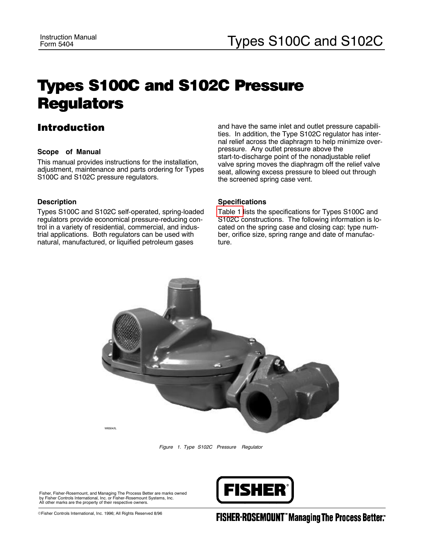# Types S100C and S102C Pressure **Regulators**

## Introduction

#### **Scope of Manual**

This manual provides instructions for the installation, adjustment, maintenance and parts ordering for Types S100C and S102C pressure regulators.

#### **Description**

Types S100C and S102C self-operated, spring-loaded regulators provide economical pressure-reducing control in a variety of residential, commercial, and industrial applications. Both regulators can be used with natural, manufactured, or liquified petroleum gases

#### and have the same inlet and outlet pressure capabilities. In addition, the Type S102C regulator has internal relief across the diaphragm to help minimize overpressure. Any outlet pressure above the start-to-discharge point of the nonadjustable relief valve spring moves the diaphragm off the relief valve seat, allowing excess pressure to bleed out through the screened spring case vent.

#### **Specifications**

[Table](#page-1-0) 1 lists the specifications for Types S100C and S102C constructions. The following information is located on the spring case and closing cap: type number, orifice size, spring range and date of manufacture.



*Figure 1. Type S102C Pressure Regulator*

Fisher, Fisher-Rosemount, and Managing The Process Better are marks owned<br>by Fisher Controls International, Inc. or Fisher-Rosemount Systems, Inc.<br>All other marks are the property of their respective owners.



EFisher Controls International, Inc. 1996; All Rights Reserved 8/96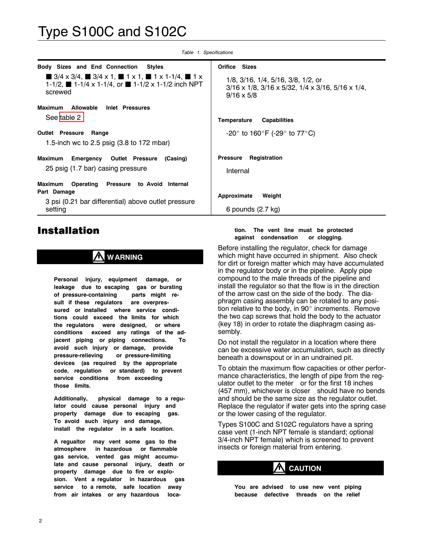<span id="page-1-0"></span>

| Body Sizes and End Connection<br>Styles                                                                                                                                                                          | Orifice Sizes                                                                                                                               |  |  |
|------------------------------------------------------------------------------------------------------------------------------------------------------------------------------------------------------------------|---------------------------------------------------------------------------------------------------------------------------------------------|--|--|
| $\blacksquare$ 3/4 x 3/4, $\blacksquare$ 3/4 x 1, $\blacksquare$ 1 x 1, $\blacksquare$ 1 x 1-1/4, $\blacksquare$ 1 x<br>1-1/2, $\blacksquare$ 1-1/4 x 1-1/4, or $\blacksquare$ 1-1/2 x 1-1/2 inch NPT<br>screwed | 1/8, 3/16, 1/4, 5/16, 3/8, 1/2, or<br>$3/16 \times 1/8$ , $3/16 \times 5/32$ , $1/4 \times 3/16$ , $5/16 \times 1/4$ ,<br>$9/16 \times 5/8$ |  |  |
| Inlet Pressures<br>Maximum<br>Allowable                                                                                                                                                                          |                                                                                                                                             |  |  |
| See table 2                                                                                                                                                                                                      | Temperature<br><b>Capabilities</b>                                                                                                          |  |  |
| <b>Outlet Pressure</b><br>Range                                                                                                                                                                                  | -20 $^{\circ}$ to 160 $^{\circ}$ F (-29 $^{\circ}$ to 77 $^{\circ}$ C)                                                                      |  |  |
| 1.5-inch wc to 2.5 psig $(3.8 \text{ to } 172 \text{ mbar})$                                                                                                                                                     |                                                                                                                                             |  |  |
| Maximum<br><b>Emergency Outlet Pressure</b><br>(Casing)                                                                                                                                                          | <b>Pressure</b><br>Registration                                                                                                             |  |  |
| 25 psig (1.7 bar) casing pressure                                                                                                                                                                                | Internal                                                                                                                                    |  |  |
| Pressure<br>Operating<br>to Avoid Internal<br>Maximum                                                                                                                                                            |                                                                                                                                             |  |  |
| Part Damage                                                                                                                                                                                                      | Approximate<br>Weight                                                                                                                       |  |  |
| 3 psi (0.21 bar differential) above outlet pressure<br>setting                                                                                                                                                   | 6 pounds $(2.7 \text{ kg})$                                                                                                                 |  |  |
|                                                                                                                                                                                                                  |                                                                                                                                             |  |  |

*Table 1. Specifications*

## Installation

## **WARNING**

**Personal injury, equipment damage, or leakage due to escaping gas or bursting of pressure-containing parts might result if these regulators are overpressured or installed where service conditions could exceed the limits for which the regulators were designed, or where conditions exceed any ratings of the adjacent piping or piping connections. To avoid such injury or damage, provide pressure-relieving or pressure-limiting devices (as required by the appropriate code, regulation or standard) to prevent service conditions from exceeding those limits.**

**Additionally, physical damage to a regulator could cause personal injury and property damage due to escaping gas. To avoid such injury and damage, install the regulator in a safe location.**

**A regualtor may vent some gas to the atmosphere in hazardous or flammable gas service, vented gas might accumulate and cause personal injury, death or property damage due to fire or explosion. Vent a regulator in hazardous gas service to a remote, safe location away from air intakes or any hazardous loca-**

#### **tion. The vent line must be protected against condensation or clogging.**

Before installing the regulator, check for damage which might have occurred in shipment. Also check for dirt or foreign matter which may have accumulated in the regulator body or in the pipeline. Apply pipe compound to the male threads of the pipeline and install the regulator so that the flow is in the direction of the arrow cast on the side of the body. The diaphragm casing assembly can be rotated to any position relative to the body, in 90 $^{\circ}$  increments. Remove the two cap screws that hold the body to the actuator (key 18) in order to rotate the diaphragm casing assembly.

Do not install the regulator in a location where there can be excessive water accumulation, such as directly beneath a downspout or in an undrained pit.

To obtain the maximum flow capacities or other performance characteristics, the length of pipe from the regulator outlet to the meter—or for the first 18 inches (457 mm), whichever is closer—should have no bends and should be the same size as the regulator outlet. Replace the regulator if water gets into the spring case or the lower casing of the regulator.

Types S100C and S102C regulators have a spring case vent (1-inch NPT female is standard; optional 3/4-inch NPT female) which is screened to prevent insects or foreign material from entering.

## **CAUTION**

**You are advised to use new vent piping because defective threads on the relief**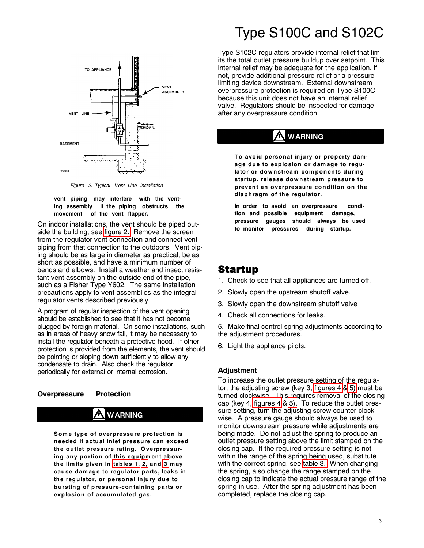<span id="page-2-0"></span>

*Figure 2. Typical Vent Line Installation*

#### **vent piping may interfere with the venting assembly if the piping obstructs the movement of the vent flapper.**

On indoor installations, the vent should be piped outside the building, see [figure](#page-2-0) 2. Remove the screen from the regulator vent connection and connect vent piping from that connection to the outdoors. Vent piping should be as large in diameter as practical, be as short as possible, and have a minimum number of bends and elbows. Install a weather and insect resistant vent assembly on the outside end of the pipe, such as a Fisher Type Y602. The same installation precautions apply to vent assemblies as the integral regulator vents described previously.

A program of regular inspection of the vent opening should be established to see that it has not become plugged by foreign material. On some installations, such as in areas of heavy snow fall, it may be necessary to install the regulator beneath a protective hood. If other protection is provided from the elements, the vent should be pointing or sloping down sufficiently to allow any condensate to drain. Also check the regulator periodically for external or internal corrosion.

### **Overpressure Protection**

# **WARNING**

**Som e type of overpressure protection is needed if actual inlet pressure can exceed the outlet pressure rating. O verpressuring any portion of this equipm ent above the lim its given in [tables](#page-1-0) 1, [2,](#page-3-0) and [3](#page-3-1) m ay cause dam age to regulator parts, leaks in the regulator, or personal injury due to bursting of pressure-containing parts or explosion of accum ulated gas.**

Type S102C regulators provide internal relief that limits the total outlet pressure buildup over setpoint. This internal relief may be adequate for the application, if not, provide additional pressure relief or a pressurelimiting device downstream. External downstream overpressure protection is required on Type S100C because this unit does not have an internal relief valve. Regulators should be inspected for damage after any overpressure condition.

# **WARNING**

**To avoid personal injury or property damage due to explosion or dam age to regulator or dow nstream com ponents during startup, release dow nstream pressure to prevent an overpressure condition on the diaphragm of the regulator.**

**In order to avoid an overpressure condition and possible equipment damage, pressure gauges should always be used to monitor pressures during startup.**

## Startup

- 1. Check to see that all appliances are turned off.
- 2. Slowly open the upstream shutoff valve.
- 3. Slowly open the downstream shutoff valve
- 4. Check all connections for leaks.

5. Make final control spring adjustments according to the adjustment procedures.

6. Light the appliance pilots.

### **Adjustment**

To increase the outlet pressure setting of the regulator, the adjusting screw (key 3, [figures](#page-6-0) 4 & [5\)](#page-7-0) must be turned clockwise. This requires removal of the closing cap (key 4, [figures](#page-6-0) 4 & [5\).](#page-7-0) To reduce the outlet pressure setting, turn the adjusting screw counter-clockwise. A pressure gauge should always be used to monitor downstream pressure while adjustments are being made. Do not adjust the spring to produce an outlet pressure setting above the limit stamped on the closing cap. If the required pressure setting is not within the range of the spring being used, substitute with the correct spring, see [table](#page-3-1) 3. When changing the spring, also change the range stamped on the closing cap to indicate the actual pressure range of the spring in use. After the spring adjustment has been completed, replace the closing cap.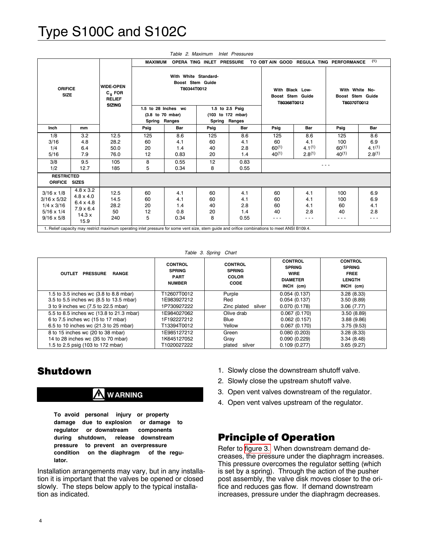<span id="page-3-0"></span>

| With White Standard-<br>Boost Stem Guide<br><b>WIDE-OPEN</b><br><b>ORIFICE</b><br>T80344T0012<br>With Black Low-<br>With White No-<br>$C_{\alpha}$ FOR<br><b>SIZE</b><br>Boost Stem Guide<br><b>RELIEF</b><br>T80368T0012<br>T80370T0012<br><b>SIZING</b><br>1.5 to 28 Inches wc<br>1.5 to 2.5 Psig<br>(103 to 172 mbar)<br>(3.8 to 70 mbar)<br><b>Ranges</b><br>Spring Ranges<br>Spring<br>Bar<br>Bar<br>Psig<br>Bar<br>Psig<br>Psig<br>Inch<br>Psig<br>mm<br>1/8<br>8.6<br>8.6<br>8.6<br>3.2<br>12.5<br>125<br>125<br>125<br>125<br>3/16<br>4.8<br>28.2<br>4.1<br>60<br>60<br>100<br>60<br>4.1<br>4.1<br>$4.1^{(1)}$<br>$60^{(1)}$<br>$60^{(1)}$<br>1/4<br>6.4<br>50.0<br>20<br>40<br>2.8<br>1.4<br>$2.8^{(1)}$<br>$40^{(1)}$<br>$40^{(1)}$<br>7.9<br>12<br>0.83<br>20<br>5/16<br>76.0<br>1.4<br>3/8<br>9.5<br>8<br>0.55<br>12<br>0.83<br>105<br>5<br>8<br>1/2<br>12.7<br>185<br>0.34<br>0.55 |  |  | <b>MAXIMUM</b> |  | OPERA TING INLET PRESSURE |  | TO OBT AIN GOOD REGULA TING PERFORMANCE |  |                  | (1)                                      |
|-------------------------------------------------------------------------------------------------------------------------------------------------------------------------------------------------------------------------------------------------------------------------------------------------------------------------------------------------------------------------------------------------------------------------------------------------------------------------------------------------------------------------------------------------------------------------------------------------------------------------------------------------------------------------------------------------------------------------------------------------------------------------------------------------------------------------------------------------------------------------------------------------|--|--|----------------|--|---------------------------|--|-----------------------------------------|--|------------------|------------------------------------------|
|                                                                                                                                                                                                                                                                                                                                                                                                                                                                                                                                                                                                                                                                                                                                                                                                                                                                                                 |  |  |                |  |                           |  |                                         |  | Boost Stem Guide |                                          |
|                                                                                                                                                                                                                                                                                                                                                                                                                                                                                                                                                                                                                                                                                                                                                                                                                                                                                                 |  |  |                |  |                           |  |                                         |  |                  |                                          |
|                                                                                                                                                                                                                                                                                                                                                                                                                                                                                                                                                                                                                                                                                                                                                                                                                                                                                                 |  |  |                |  |                           |  |                                         |  |                  | Bar                                      |
|                                                                                                                                                                                                                                                                                                                                                                                                                                                                                                                                                                                                                                                                                                                                                                                                                                                                                                 |  |  |                |  |                           |  |                                         |  |                  | 8.6<br>6.9<br>$4.1^{(1)}$<br>$2.8^{(1)}$ |
|                                                                                                                                                                                                                                                                                                                                                                                                                                                                                                                                                                                                                                                                                                                                                                                                                                                                                                 |  |  |                |  |                           |  |                                         |  |                  |                                          |
| <b>RESTRICTED</b><br><b>ORIFICE</b><br><b>SIZES</b>                                                                                                                                                                                                                                                                                                                                                                                                                                                                                                                                                                                                                                                                                                                                                                                                                                             |  |  |                |  |                           |  |                                         |  |                  |                                          |
| $4.8 \times 3.2$<br>$3/16 \times 1/8$<br>12.5<br>60<br>60<br>4.1<br>4.1<br>60<br>4.1<br>100<br>$4.8 \times 4.0$<br>$3/16 \times 5/32$<br>14.5<br>60<br>4.1<br>60<br>60<br>4.1<br>4.1<br>100<br>$6.4 \times 4.8$<br>2.8<br>$1/4 \times 3/16$<br>28.2<br>20<br>60<br>4.1<br>60<br>1.4<br>40<br>$7.9 \times 6.4$<br>$5/16 \times 1/4$<br>50<br>12<br>0.8<br>20<br>2.8<br>1.4<br>40<br>40<br>14.3x<br>5<br>8<br>$9/16 \times 5/8$<br>240<br>0.34<br>0.55<br>---<br>- - -<br>---<br>15.9                                                                                                                                                                                                                                                                                                                                                                                                             |  |  |                |  |                           |  |                                         |  |                  | 6.9<br>6.9<br>4.1<br>2.8<br>- - -        |

*Table 2. Maximum Inlet Pressures*

*Table 3. Spring Chart*

<span id="page-3-1"></span>

| <b>PRESSURE</b><br><b>OUTLET</b><br><b>RANGE</b>                                                                        | <b>CONTROL</b><br><b>SPRING</b><br><b>PART</b><br><b>NUMBER</b> | <b>CONTROL</b><br><b>SPRING</b><br><b>COLOR</b><br><b>CODE</b> | <b>CONTROL</b><br><b>SPRING</b><br><b>WIRE</b><br><b>DIAMETER</b><br>INCH (cm) | <b>CONTROL</b><br><b>SPRING</b><br><b>FREE</b><br><b>LENGTH</b><br>INCH (cm) |
|-------------------------------------------------------------------------------------------------------------------------|-----------------------------------------------------------------|----------------------------------------------------------------|--------------------------------------------------------------------------------|------------------------------------------------------------------------------|
| 1.5 to 3.5 inches wc (3.8 to 8.8 mbar)<br>3.5 to 5.5 inches wc (8.5 to 13.5 mbar)                                       | T12607T0012<br>1E983927212                                      | Purple<br>Red                                                  | 0.054(0.137)<br>0.054(0.137)                                                   | 3.28(8.33)<br>3.50(8.89)                                                     |
| 3 to 9 inches wc (7.5 to 22.5 mbar)                                                                                     | 1P730927222                                                     | Zinc plated<br>silver                                          | 0.070(0.178)                                                                   | 3.06(7.77)                                                                   |
| 5.5 to 8.5 inches wc (13.8 to 21.3 mbar)<br>6 to 7.5 inches wc (15 to 17 mbar)<br>6.5 to 10 inches wc (21.3 to 25 mbar) | 1F984027062<br>1F192227212<br>T13394T0012                       | Olive drab<br>Blue<br>Yellow                                   | 0.067(0.170)<br>0.062(0.157)<br>0.067(0.170)                                   | 3.50(8.89)<br>3.88(9.86)<br>3.75(9.53)                                       |
| 8 to 15 inches wc (20 to 38 mbar)<br>14 to 28 inches wc (35 to 70 mbar)<br>1.5 to 2.5 psig (103 to 172 mbar)            | 1E985127212<br>1K645127052<br>T1020027222                       | Green<br>Gray<br>plated<br>silver                              | 0.080(0.203)<br>0.090(0.229)<br>0.109(0.277)                                   | 3.28(8.33)<br>3.34(8.48)<br>3.65(9.27)                                       |

## Shutdown

# **WARNING**

**To avoid personal injury or property damage due to explosion or damage to regulator or downstream components during shutdown, release downstream pressure to prevent an overpressure condition on the diaphragm of the regulator.**

Installation arrangements may vary, but in any installation it is important that the valves be opened or closed slowly. The steps below apply to the typical installation as indicated.

- 1. Slowly close the downstream shutoff valve.
- 2. Slowly close the upstream shutoff valve.
- 3. Open vent valves downstream of the regulator.
- 4. Open vent valves upstream of the regulator.

### Principle of Operation

Refer to [figure](#page-4-0) 3. When downstream demand decreases, the pressure under the diaphragm increases. This pressure overcomes the regulator setting (which is set by a spring). Through the action of the pusher post assembly, the valve disk moves closer to the orifice and reduces gas flow. If demand downstream increases, pressure under the diaphragm decreases.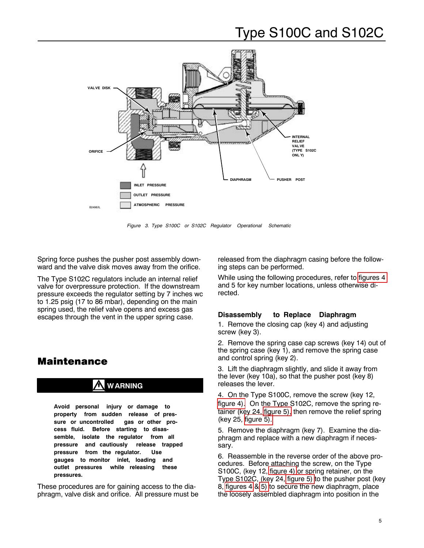<span id="page-4-0"></span>

*Figure 3. Type S100C or S102C Regulator Operational Schematic*

Spring force pushes the pusher post assembly downward and the valve disk moves away from the orifice.

The Type S102C regulators include an internal relief valve for overpressure protection. If the downstream pressure exceeds the regulator setting by 7 inches wc to 1.25 psig (17 to 86 mbar), depending on the main spring used, the relief valve opens and excess gas escapes through the vent in the upper spring case.

## Maintenance

## **WARNING**

**Avoid personal injury or damage to property from sudden release of pressure or uncontrolled gas or other process fluid. Before starting to disassemble, isolate the regulator from all pressure and cautiously release trapped pressure from the regulator. Use gauges to monitor inlet, loading and outlet pressures while releasing these pressures.**

These procedures are for gaining access to the diaphragm, valve disk and orifice. All pressure must be released from the diaphragm casing before the following steps can be performed.

While using the following procedures, refer to [figures](#page-6-0) 4 and 5 for key number locations, unless otherwise directed.

### **Disassembly to Replace Diaphragm**

1. Remove the closing cap (key 4) and adjusting screw (key 3).

2. Remove the spring case cap screws (key 14) out of the spring case (key 1), and remove the spring case and control spring (key 2).

3. Lift the diaphragm slightly, and slide it away from the lever (key 10a), so that the pusher post (key 8) releases the lever.

4. On the Type S100C, remove the screw (key 12, [figure](#page-6-0) 4). On the Type S102C, remove the spring retainer (key 24, [figure](#page-7-0) 5), then remove the relief spring (key 25, [figure](#page-7-0) 5).

5. Remove the diaphragm (key 7). Examine the diaphragm and replace with a new diaphragm if necessary.

6. Reassemble in the reverse order of the above procedures. Before attaching the screw, on the Type S100C, (key 12, [figure](#page-6-0) 4) or spring retainer, on the Type S102C, (key 24, [figure](#page-7-0) 5) to the pusher post (key 8, [figures](#page-6-0) 4 & [5\)](#page-7-0) to secure the new diaphragm, place the loosely assembled diaphragm into position in the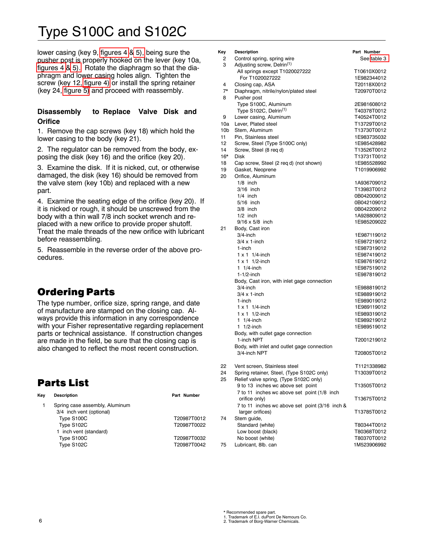lower casing (key 9, [figures](#page-6-0) 4 & [5\),](#page-7-0) being sure the pusher post is properly hooked on the lever (key 10a, [figures](#page-6-0) 4 & [5\).](#page-7-0) Rotate the diaphragm so that the diaphragm and lower casing holes align. Tighten the screw (key 12, [figure](#page-6-0) 4) or install the spring retainer (key 24, [figure](#page-7-0) 5) and proceed with reassembly.

### **Disassembly to Replace Valve Disk and Orifice**

1. Remove the cap screws (key 18) which hold the lower casing to the body (key 21).

2. The regulator can be removed from the body, exposing the disk (key 16) and the orifice (key 20).

3. Examine the disk. If it is nicked, cut, or otherwise damaged, the disk (key 16) should be removed from the valve stem (key 10b) and replaced with a new part.

4. Examine the seating edge of the orifice (key 20). If it is nicked or rough, it should be unscrewed from the body with a thin wall 7/8 inch socket wrench and replaced with a new orifice to provide proper shutoff. Treat the male threads of the new orifice with lubricant before reassembling.

5. Reassemble in the reverse order of the above procedures.

## Ordering Parts

The type number, orifice size, spring range, and date of manufacture are stamped on the closing cap. Always provide this information in any correspondence with your Fisher representative regarding replacement parts or technical assistance. If construction changes are made in the field, be sure that the closing cap is also changed to reflect the most recent construction.

# Parts List

| Kev | <b>Description</b>                                         | Part Number |
|-----|------------------------------------------------------------|-------------|
| 1   | Spring case assembly, Aluminum<br>3/4 inch vent (optional) |             |
|     | Type S100C                                                 | T20987T0012 |
|     | Type S102C                                                 | T20987T0022 |
|     | 1 inch vent (standard)                                     |             |
|     | Type S100C                                                 | T20987T0032 |
|     | Type S102C                                                 | T20987T0042 |
|     |                                                            |             |

| Key             | <b>Description</b>                             | Part Number |
|-----------------|------------------------------------------------|-------------|
| 2               | Control spring, spring wire                    | See table 3 |
| 3               | Adjusting screw, Delrin <sup>(1)</sup>         |             |
|                 | All springs except T1020027222                 | T10610X0012 |
|                 | For T1020027222                                | 1E982344012 |
| 4               | Closing cap, ASA                               | T20118X0012 |
| $7^*$           | Diaphragm, nitrile/nylon/plated steel          | T20970T0012 |
| 8               | Pusher post                                    |             |
|                 | Type S100C, Aluminum                           | 2E981608012 |
|                 |                                                |             |
|                 | Type S102C, Delrin <sup>(1)</sup>              | T40378T0012 |
| 9               | Lower casing, Aluminum                         | T40524T0012 |
| 10a             | Lever, Plated steel                            | T13729T0012 |
| 10 <sub>b</sub> | Stem, Aluminum                                 | T13730T0012 |
| 11              | Pin. Stainless steel                           | 1E983735032 |
| 12              | Screw, Steel (Type S100C only)                 | 1E985428982 |
| 14              | Screw, Steel (8 reg d)                         | T13526T0012 |
| $16*$           | <b>Disk</b>                                    | T13731T0012 |
| 18              | Cap screw, Steel (2 req d) (not shown)         | 1E985528992 |
| 19              | Gasket, Neoprene                               | T1019906992 |
| 20              | Orifice, Aluminum                              |             |
|                 |                                                |             |
|                 | $1/8$ inch                                     | 1A936709012 |
|                 | $3/16$ inch                                    | T13983T0012 |
|                 | $1/4$ inch                                     | 0B042009012 |
|                 | $5/16$ inch                                    | 0B042109012 |
|                 | $3/8$ inch                                     | 0B042209012 |
|                 | $1/2$ inch                                     | 1A928809012 |
|                 | $9/16 \times 5/8$ inch                         | 1E985209022 |
| 21              | Body, Cast iron                                |             |
|                 | $3/4$ -inch                                    | 1E987119012 |
|                 | $3/4 \times 1$ -inch                           | 1E987219012 |
|                 | 1-inch                                         | 1E987319012 |
|                 |                                                |             |
|                 | $1 \times 1$ 1/4-inch                          | 1E987419012 |
|                 | $1 \times 1$ 1/2-inch                          | 1E987619012 |
|                 | 1 $1/4$ -inch                                  | 1E987519012 |
|                 | $1-1/2$ -inch                                  | 1E987819012 |
|                 | Body, Cast iron, with inlet gage connection    |             |
|                 | $3/4$ -inch                                    | 1E988819012 |
|                 | $3/4 \times 1$ -inch                           | 1E988919012 |
|                 | 1-inch                                         | 1E989019012 |
|                 | $1 \times 1$ 1/4-inch                          | 1E989119012 |
|                 | $1 \times 1$ 1/2-inch                          | 1E989319012 |
|                 | 1 $1/4$ -inch                                  | 1E989219012 |
|                 |                                                |             |
|                 | 1 $1/2$ -inch                                  | 1E989519012 |
|                 | Body, with outlet gage connection              |             |
|                 | 1-inch NPT                                     | T2001219012 |
|                 | Body, with inlet and outlet gage connection    |             |
|                 | 3/4-inch NPT                                   | T20805T0012 |
|                 |                                                |             |
| 22              | Vent screen, Stainless steel                   | T1121338982 |
| 24              | Spring retainer, Steel, (Type S102C only)      | T13039T0012 |
| 25              | Relief valve spring, (Type S102C only)         |             |
|                 | 9 to 13 inches wc above set point              | T13505T0012 |
|                 |                                                |             |
|                 | 7 to 11 inches wc above set point (1/8 inch    |             |
|                 | orifice only)                                  | T13675T0012 |
|                 | 7 to 11 inches wc above set point (3/16 inch & |             |
|                 | larger orifices)                               | T13785T0012 |
| 74              | Stem guide,                                    |             |
|                 | Standard (white)                               | T80344T0012 |
|                 | Low boost (black)                              | T80368T0012 |
|                 | No boost (white)                               | T80370T0012 |
| 75              | Lubricant, 8lb. can                            | 1M523906992 |
|                 |                                                |             |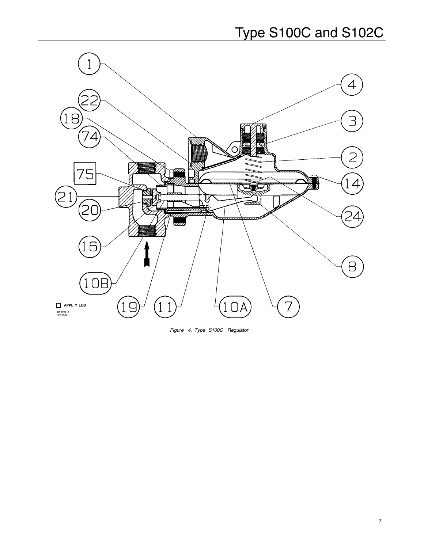<span id="page-6-0"></span>

*Figure 4. Type S100C Regulator*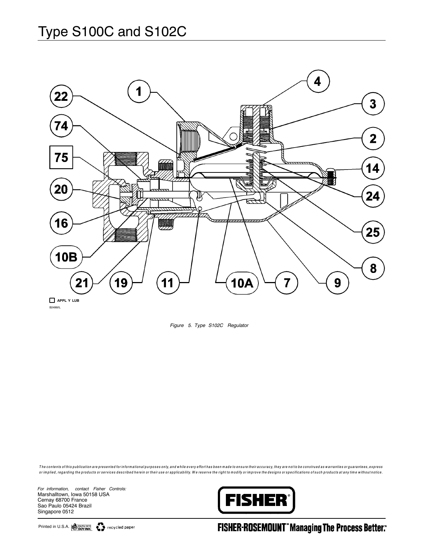<span id="page-7-0"></span>

*Figure 5. Type S102C Regulator*

The contents of this publication are presented for informational purposes only, and while every effort has been made to ensure their accuracy, they are not to be construed as warranties or guarantees, express or implied, regarding the products or services described herein or their use or applicability. We reserve the right to modify or improve the designs or specifications of such products at any time without notice.

*For information, contact Fisher Controls:* Marshalltown, Iowa 50158 USA Cernay 68700 France Sao Paulo 05424 Brazil Singapore 0512

8 Printed in U.S.A.



**FISHER-ROSEMOUNT" Managing The Process Better:**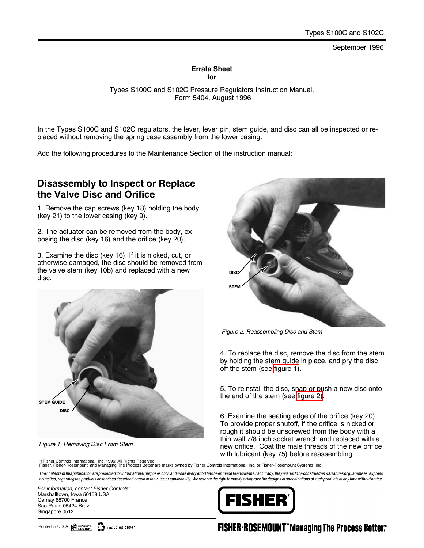#### September 1996

#### **Errata Sheet for**

Types S100C and S102C Pressure Regulators Instruction Manual, Form 5404, August 1996

In the Types S100C and S102C regulators, the lever, lever pin, stem guide, and disc can all be inspected or replaced without removing the spring case assembly from the lower casing.

Add the following procedures to the Maintenance Section of the instruction manual:

### **Disassembly to Inspect or Replace the Valve Disc and Orifice**

1. Remove the cap screws (key 18) holding the body (key 21) to the lower casing (key 9).

2. The actuator can be removed from the body, exposing the disc (key 16) and the orifice (key 20).

3. Examine the disc (key 16). If it is nicked, cut, or otherwise damaged, the disc should be removed from the valve stem (key 10b) and replaced with a new disc.



*Figure 1. Removing Disc From Stem*



*Figure 2. Reassembling Disc and Stem*

4. To replace the disc, remove the disc from the stem by holding the stem guide in place, and pry the disc off the stem (see figure 1).

5. To reinstall the disc, snap or push a new disc onto the end of the stem (see figure 2).

6. Examine the seating edge of the orifice (key 20). To provide proper shutoff, if the orifice is nicked or rough it should be unscrewed from the body with a thin wall 7/8 inch socket wrench and replaced with a new orifice. Coat the male threads of the new orifice with lubricant (key 75) before reassembling.

©Fisher Controls International, Inc. 1996; All Rights Reserved<br>Fisher, Fisher-Rosemount, and Managing The Process Better are marks owned by Fisher Controls International, Inc. or Fisher-Rosemount Systems, Inc.

The contents of this publication are presented for informational purposes only, and while every effort has been made to ensure their accuracy, they are not to be construed as warranties or guarantees, express or implied, regarding the products or services described herein or their use or applicability. We reserve the right to modify or improve the designs or specifications of such products at any time without notice.

*For information, contact Fisher Controls:* Marshalltown, Iowa 50158 USA Cernay 68700 France Sao Paulo 05424 Brazil Singapore 0512



## **FISHER-ROSEMOUNT" Managing The Process Better:**

Printed in U.S.A. SOYINK

recycled paper